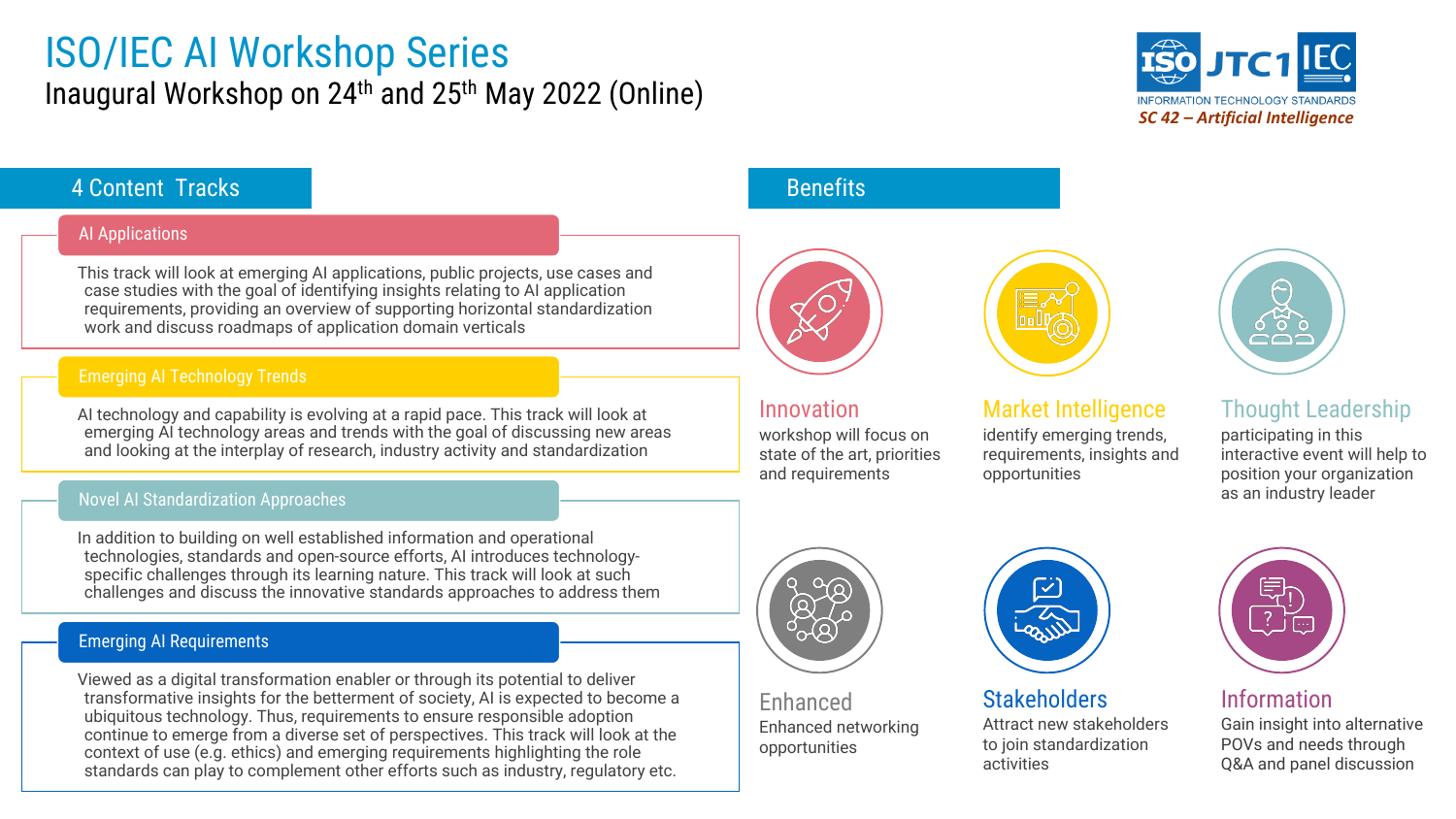## ISO/IEC AI Workshop Series Inaugural Workshop on 24th and 25th May 2022 (Online)



### **4 Content Tracks** Benefits

#### AI Applications

This track will look at emerging AI applications, public projects, use cases and case studies with the goal of identifying insights relating to AI application requirements, providing an overview of supporting horizontal standardization work and discuss roadmaps of application domain verticals

#### Emerging AI Technology Trends

AI technology and capability is evolving at a rapid pace. This track will look at emerging AI technology areas and trends with the goal of discussing new areas and looking at the interplay of research, industry activity and standardization

#### Novel AI Standardization Approaches

In addition to building on well established information and operational technologies, standards and open-source efforts, AI introduces technologyspecific challenges through its learning nature. This track will look at such challenges and discuss the innovative standards approaches to address them

#### Emerging AI Requirements

Viewed as a digital transformation enabler or through its potential to deliver transformative insights for the betterment of society, AI is expected to become a ubiquitous technology. Thus, requirements to ensure responsible adoption continue to emerge from a diverse set of perspectives. This track will look at the context of use (e.g. ethics) and emerging requirements highlighting the role standards can play to complement other efforts such as industry, regulatory etc.



Innovation

workshop will focus on state of the art, priorities and requirements



#### Market Intelligence

identify emerging trends, requirements, insights and opportunities



### Thought Leadership

participating in this interactive event will help to position your organization as an industry leader



Enhanced Enhanced networking opportunities



**Stakeholders** Attract new stakeholders to join standardization activities



Information

Gain insight into alternative POVs and needs through Q&A and panel discussion